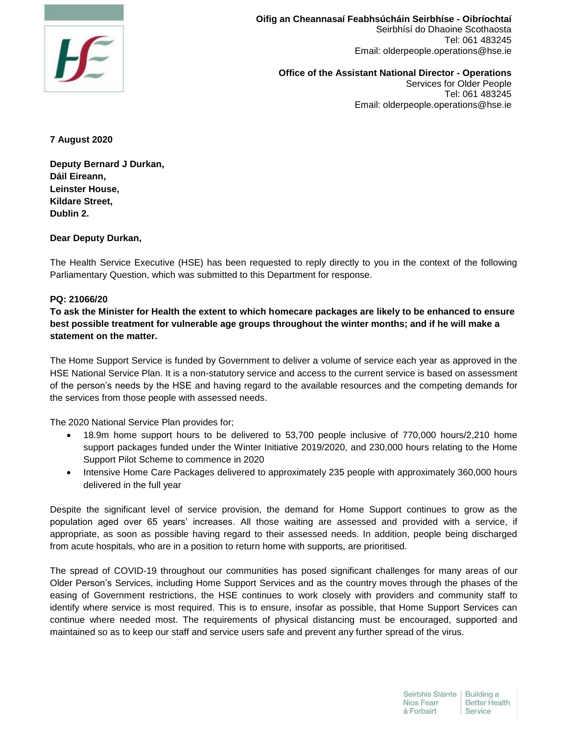

**Oifig an Cheannasaí Feabhsúcháin Seirbhíse - Oibríochtaí** Seirbhísí do Dhaoine Scothaosta Tel: 061 483245 Email: olderpeople.operations@hse.ie

**Office of the Assistant National Director - Operations**  Services for Older People Tel: 061 483245 Email: olderpeople.operations@hse.ie

**7 August 2020**

**Deputy Bernard J Durkan, Dáil Eireann, Leinster House, Kildare Street, Dublin 2.**

## **Dear Deputy Durkan,**

The Health Service Executive (HSE) has been requested to reply directly to you in the context of the following Parliamentary Question, which was submitted to this Department for response.

## **PQ: 21066/20**

**To ask the Minister for Health the extent to which homecare packages are likely to be enhanced to ensure best possible treatment for vulnerable age groups throughout the winter months; and if he will make a statement on the matter.**

The Home Support Service is funded by Government to deliver a volume of service each year as approved in the HSE National Service Plan. It is a non-statutory service and access to the current service is based on assessment of the person's needs by the HSE and having regard to the available resources and the competing demands for the services from those people with assessed needs.

The 2020 National Service Plan provides for;

- 18.9m home support hours to be delivered to 53,700 people inclusive of 770,000 hours/2,210 home support packages funded under the Winter Initiative 2019/2020, and 230,000 hours relating to the Home Support Pilot Scheme to commence in 2020
- Intensive Home Care Packages delivered to approximately 235 people with approximately 360,000 hours delivered in the full year

Despite the significant level of service provision, the demand for Home Support continues to grow as the population aged over 65 years' increases. All those waiting are assessed and provided with a service, if appropriate, as soon as possible having regard to their assessed needs. In addition, people being discharged from acute hospitals, who are in a position to return home with supports, are prioritised.

The spread of COVID-19 throughout our communities has posed significant challenges for many areas of our Older Person's Services, including Home Support Services and as the country moves through the phases of the easing of Government restrictions, the HSE continues to work closely with providers and community staff to identify where service is most required. This is to ensure, insofar as possible, that Home Support Services can continue where needed most. The requirements of physical distancing must be encouraged, supported and maintained so as to keep our staff and service users safe and prevent any further spread of the virus.